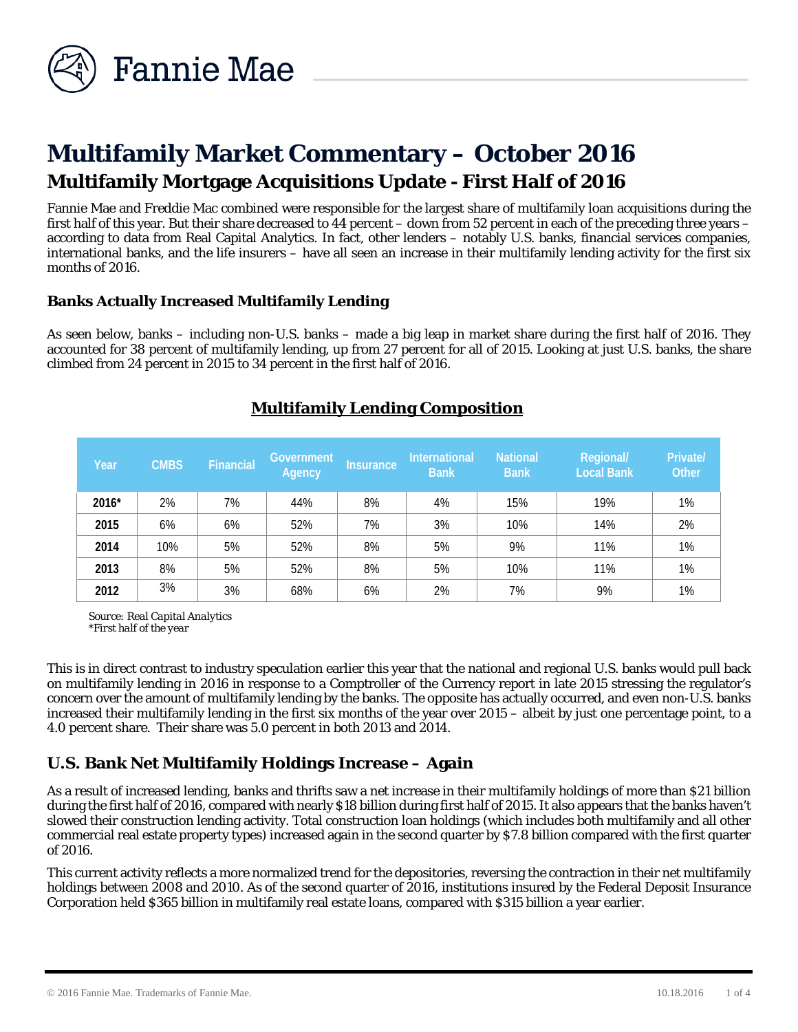

# **Multifamily Market Commentary – October 2016 Multifamily Mortgage Acquisitions Update - First Half of 2016**

Fannie Mae and Freddie Mac combined were responsible for the largest share of multifamily loan acquisitions during the first half of this year. But their share decreased to 44 percent – down from 52 percent in each of the preceding three years – according to data from Real Capital Analytics. In fact, other lenders – notably U.S. banks, financial services companies, international banks, and the life insurers – have all seen an increase in their multifamily lending activity for the first six months of 2016.

## **Banks Actually Increased Multifamily Lending**

As seen below, banks – including non-U.S. banks – made a big leap in market share during the first half of 2016. They accounted for 38 percent of multifamily lending, up from 27 percent for all of 2015. Looking at just U.S. banks, the share climbed from 24 percent in 2015 to 34 percent in the first half of 2016.

| Year  | <b>CMBS</b> | Financial | <b>Government</b><br>Agency | 'Insurance, | International<br><b>Bank</b> | <b>National</b><br><b>Bank</b> | Regional/<br><b>Local Bank</b> | Private/<br>Other |
|-------|-------------|-----------|-----------------------------|-------------|------------------------------|--------------------------------|--------------------------------|-------------------|
| 2016* | 2%          | 7%        | 44%                         | 8%          | 4%                           | 15%                            | 19%                            | 1%                |
| 2015  | 6%          | 6%        | 52%                         | 7%          | 3%                           | 10%                            | 14%                            | 2%                |
| 2014  | 10%         | 5%        | 52%                         | 8%          | 5%                           | 9%                             | 11%                            | 1%                |
| 2013  | 8%          | 5%        | 52%                         | 8%          | 5%                           | 10%                            | 11%                            | 1%                |
| 2012  | 3%          | 3%        | 68%                         | 6%          | 2%                           | 7%                             | 9%                             | 1%                |

# **Multifamily Lending Composition**

*Source: Real Capital Analytics \*First half of the year*

This is in direct contrast to industry speculation earlier this year that the national and regional U.S. banks would pull back on multifamily lending in 2016 in response to a Comptroller of the Currency report in late 2015 stressing the regulator's concern over the amount of multifamily lending by the banks. The opposite has actually occurred, and even non-U.S. banks increased their multifamily lending in the first six months of the year over 2015 – albeit by just one percentage point, to a 4.0 percent share. Their share was 5.0 percent in both 2013 and 2014.

# **U.S. Bank Net Multifamily Holdings Increase – Again**

As a result of increased lending, banks and thrifts saw a net increase in their multifamily holdings of more than \$21 billion during the first half of 2016, compared with nearly \$18 billion during first half of 2015. It also appears that the banks haven't slowed their construction lending activity. Total construction loan holdings (which includes both multifamily and all other commercial real estate property types) increased again in the second quarter by \$7.8 billion compared with the first quarter of 2016.

This current activity reflects a more normalized trend for the depositories, reversing the contraction in their net multifamily holdings between 2008 and 2010. As of the second quarter of 2016, institutions insured by the Federal Deposit Insurance Corporation held \$365 billion in multifamily real estate loans, compared with \$315 billion a year earlier.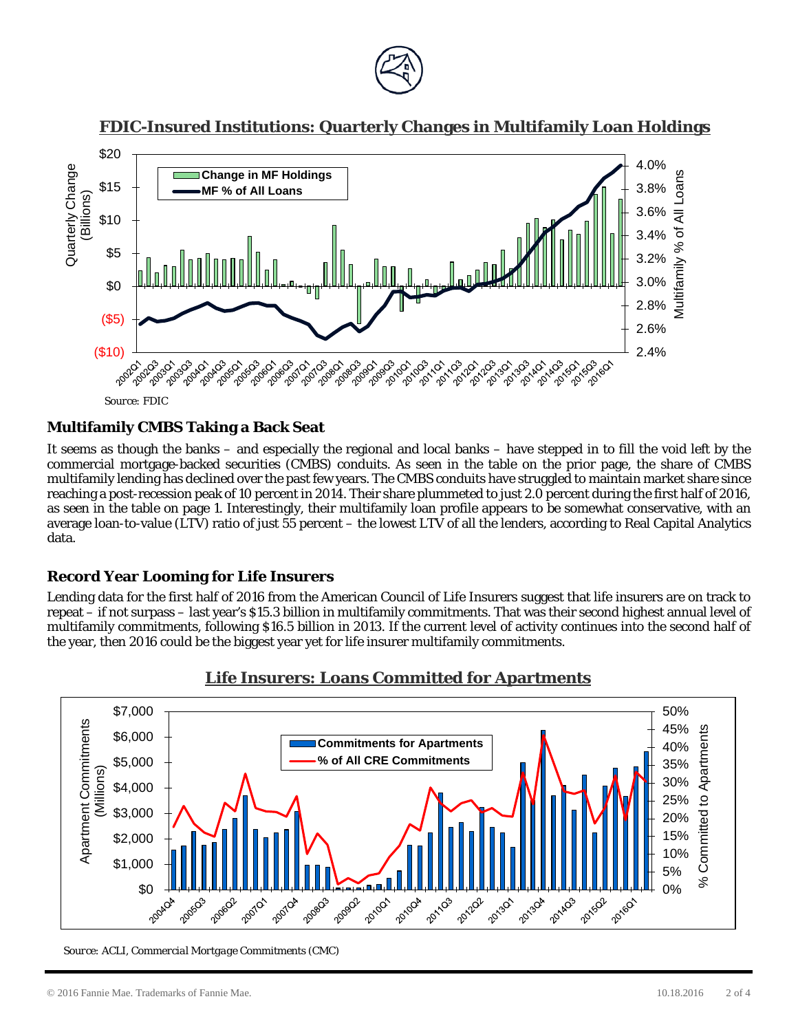

## **FDIC-Insured Institutions: Quarterly Changes in Multifamily Loan Holdings**



*Source: FDIC*

#### **Multifamily CMBS Taking a Back Seat**

It seems as though the banks – and especially the regional and local banks – have stepped in to fill the void left by the commercial mortgage-backed securities (CMBS) conduits. As seen in the table on the prior page, the share of CMBS multifamily lending has declined over the past few years. The CMBS conduits have struggled to maintain market share since reaching a post-recession peak of 10 percent in 2014. Their share plummeted to just 2.0 percent during the first half of 2016, as seen in the table on page 1. Interestingly, their multifamily loan profile appears to be somewhat conservative, with an average loan-to-value (LTV) ratio of just 55 percent – the lowest LTV of all the lenders, according to Real Capital Analytics data.

## **Record Year Looming for Life Insurers**

Lending data for the first half of 2016 from the American Council of Life Insurers suggest that life insurers are on track to repeat – if not surpass – last year's \$15.3 billion in multifamily commitments. That was their second highest annual level of multifamily commitments, following \$16.5 billion in 2013. If the current level of activity continues into the second half of the year, then 2016 could be the biggest year yet for life insurer multifamily commitments.



## **Life Insurers: Loans Committed for Apartments**

*Source: ACLI, Commercial Mortgage Commitments (CMC)*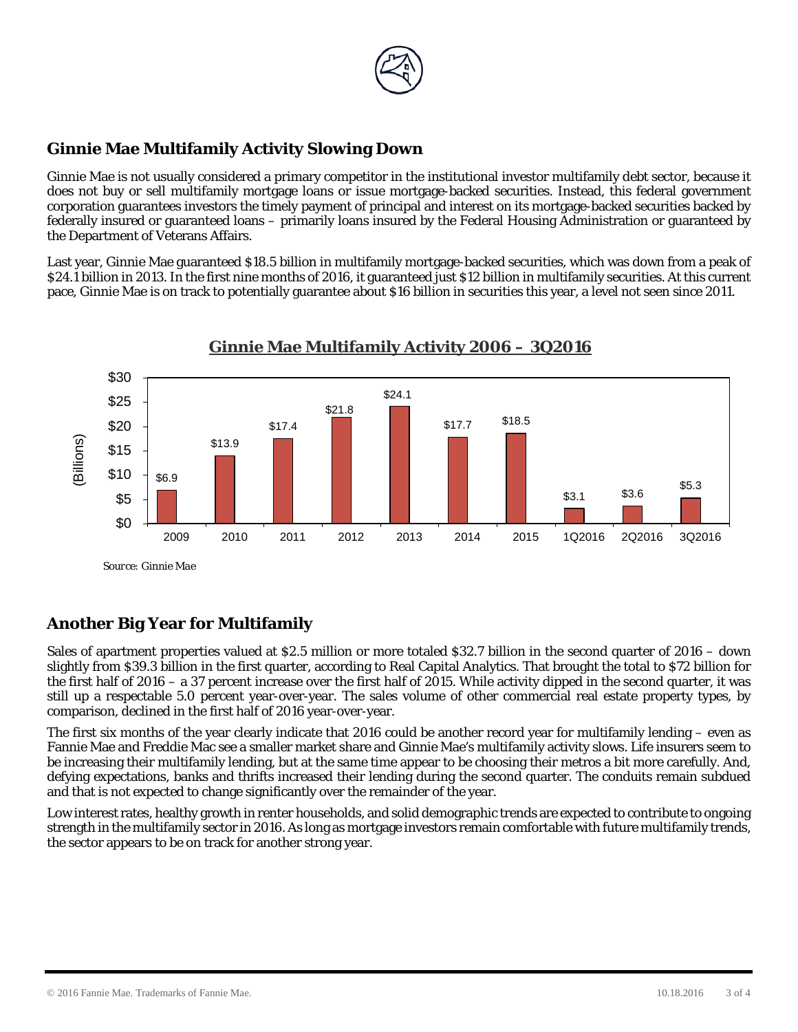

# **Ginnie Mae Multifamily Activity Slowing Down**

Ginnie Mae is not usually considered a primary competitor in the institutional investor multifamily debt sector, because it does not buy or sell multifamily mortgage loans or issue mortgage-backed securities. Instead, this federal government corporation guarantees investors the timely payment of principal and interest on its mortgage-backed securities backed by federally insured or guaranteed loans – primarily loans insured by the Federal Housing Administration or guaranteed by the Department of Veterans Affairs.

Last year, Ginnie Mae guaranteed \$18.5 billion in multifamily mortgage-backed securities, which was down from a peak of \$24.1 billion in 2013. In the first nine months of 2016, it guaranteed just \$12 billion in multifamily securities. At this current pace, Ginnie Mae is on track to potentially guarantee about \$16 billion in securities this year, a level not seen since 2011.



# **Ginnie Mae Multifamily Activity 2006 – 3Q2016**

# **Another Big Year for Multifamily**

Sales of apartment properties valued at \$2.5 million or more totaled \$32.7 billion in the second quarter of 2016 – down slightly from \$39.3 billion in the first quarter, according to Real Capital Analytics. That brought the total to \$72 billion for the first half of 2016 – a 37 percent increase over the first half of 2015. While activity dipped in the second quarter, it was still up a respectable 5.0 percent year-over-year. The sales volume of other commercial real estate property types, by comparison, declined in the first half of 2016 year-over-year.

The first six months of the year clearly indicate that 2016 could be another record year for multifamily lending – even as Fannie Mae and Freddie Mac see a smaller market share and Ginnie Mae's multifamily activity slows. Life insurers seem to be increasing their multifamily lending, but at the same time appear to be choosing their metros a bit more carefully. And, defying expectations, banks and thrifts increased their lending during the second quarter. The conduits remain subdued and that is not expected to change significantly over the remainder of the year.

Low interest rates, healthy growth in renter households, and solid demographic trends are expected to contribute to ongoing strength in the multifamily sector in 2016. As long as mortgage investors remain comfortable with future multifamily trends, the sector appears to be on track for another strong year.